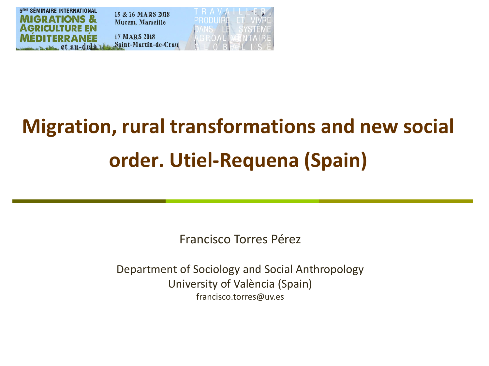

# **Migration, rural transformations and new social order. Utiel-Requena (Spain)**

Francisco Torres Pérez

Department of Sociology and Social Anthropology University of València (Spain) francisco.torres@uv.es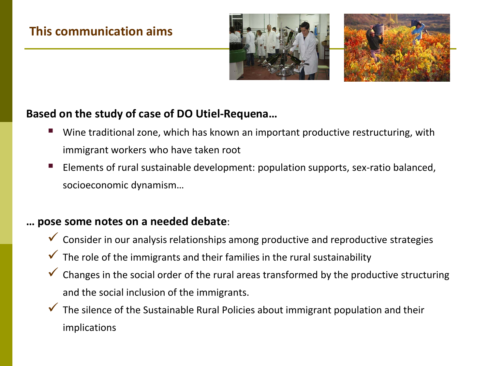# **This communication aims**





## **Based on the study of case of DO Utiel-Requena…**

- Wine traditional zone, which has known an important productive restructuring, with immigrant workers who have taken root
- Elements of rural sustainable development: population supports, sex-ratio balanced, socioeconomic dynamism…

## **… pose some notes on a needed debate**:

- $\checkmark$  Consider in our analysis relationships among productive and reproductive strategies
- $\checkmark$  The role of the immigrants and their families in the rural sustainability
- $\checkmark$  Changes in the social order of the rural areas transformed by the productive structuring and the social inclusion of the immigrants.
- $\checkmark$  The silence of the Sustainable Rural Policies about immigrant population and their implications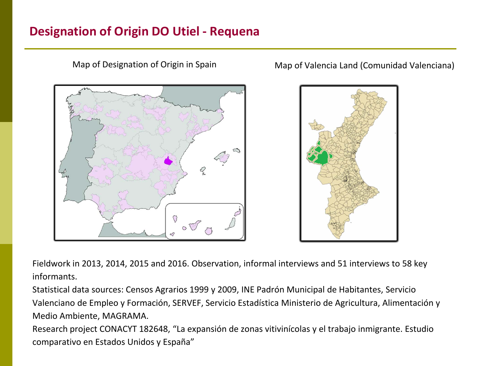# **Designation of Origin DO Utiel - Requena**





Fieldwork in 2013, 2014, 2015 and 2016. Observation, informal interviews and 51 interviews to 58 key informants.

Statistical data sources: Censos Agrarios 1999 y 2009, INE Padrón Municipal de Habitantes, Servicio Valenciano de Empleo y Formación, SERVEF, Servicio Estadística Ministerio de Agricultura, Alimentación y Medio Ambiente, MAGRAMA.

Research project CONACYT 182648, "La expansión de zonas vitivinícolas y el trabajo inmigrante. Estudio comparativo en Estados Unidos y España"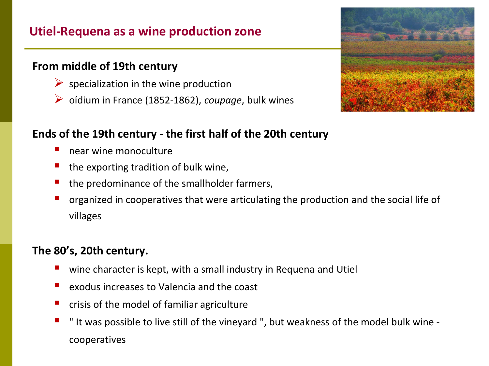# **Utiel-Requena as a wine production zone**

## **From middle of 19th century**

- $\triangleright$  specialization in the wine production
- oídium in France (1852-1862), *coupage*, bulk wines



## **Ends of the 19th century - the first half of the 20th century**

- **near wine monoculture**
- $\blacksquare$  the exporting tradition of bulk wine,
- the predominance of the smallholder farmers,
- organized in cooperatives that were articulating the production and the social life of villages

# **The 80's, 20th century.**

- wine character is kept, with a small industry in Requena and Utiel
- $\blacksquare$  exodus increases to Valencia and the coast
- $\blacksquare$  crisis of the model of familiar agriculture
- $\blacksquare$  " It was possible to live still of the vineyard ", but weakness of the model bulk wine cooperatives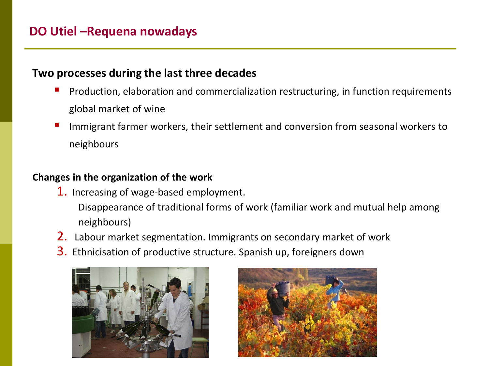#### **Two processes during the last three decades**

- Production, elaboration and commercialization restructuring, in function requirements global market of wine
- Immigrant farmer workers, their settlement and conversion from seasonal workers to neighbours

## **Changes in the organization of the work**

- 1. Increasing of wage-based employment.
	- Disappearance of traditional forms of work (familiar work and mutual help among neighbours)
- 2. Labour market segmentation. Immigrants on secondary market of work
- 3. Ethnicisation of productive structure. Spanish up, foreigners down



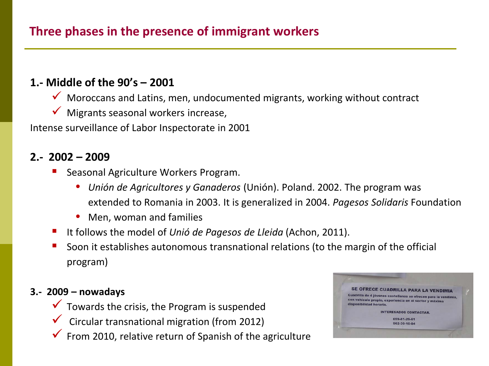## **1.- Middle of the 90's – 2001**

- $\checkmark$  Moroccans and Latins, men, undocumented migrants, working without contract
- $\checkmark$  Migrants seasonal workers increase,

Intense surveillance of Labor Inspectorate in 2001

#### **2.- 2002 – 2009**

- Seasonal Agriculture Workers Program.
	- *Unión de Agricultores y Ganaderos* (Unión). Poland. 2002. The program was extended to Romania in 2003. It is generalized in 2004. *Pagesos Solidaris* Foundation
	- Men, woman and families
- It follows the model of *Unió de Pagesos de Lleida* (Achon, 2011).
- Soon it establishes autonomous transnational relations (to the margin of the official program)

#### **3.- 2009 – nowadays**

- $\checkmark$  Towards the crisis, the Program is suspended
- $\checkmark$  Circular transnational migration (from 2012)
- $\checkmark$  From 2010, relative return of Spanish of the agriculture

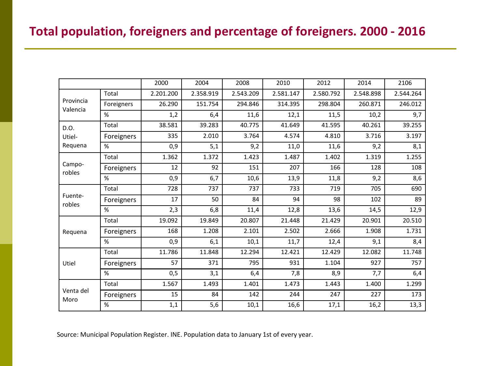# **Total population, foreigners and percentage of foreigners. 2000 - 2016**

|                           |            | 2000      | 2004      | 2008      | 2010      | 2012      | 2014      | 2106      |
|---------------------------|------------|-----------|-----------|-----------|-----------|-----------|-----------|-----------|
| Provincia<br>Valencia     | Total      | 2.201.200 | 2.358.919 | 2.543.209 | 2.581.147 | 2.580.792 | 2.548.898 | 2.544.264 |
|                           | Foreigners | 26.290    | 151.754   | 294.846   | 314.395   | 298.804   | 260.871   | 246.012   |
|                           | %          | 1,2       | 6,4       | 11,6      | 12,1      | 11,5      | 10,2      | 9,7       |
| D.O.<br>Utiel-<br>Requena | Total      | 38.581    | 39.283    | 40.775    | 41.649    | 41.595    | 40.261    | 39.255    |
|                           | Foreigners | 335       | 2.010     | 3.764     | 4.574     | 4.810     | 3.716     | 3.197     |
|                           | $\%$       | 0,9       | 5,1       | 9,2       | 11,0      | 11,6      | 9,2       | 8,1       |
| Campo-<br>robles          | Total      | 1.362     | 1.372     | 1.423     | 1.487     | 1.402     | 1.319     | 1.255     |
|                           | Foreigners | 12        | 92        | 151       | 207       | 166       | 128       | 108       |
|                           | %          | 0,9       | 6,7       | 10,6      | 13,9      | 11,8      | 9,2       | 8,6       |
| Fuente-<br>robles         | Total      | 728       | 737       | 737       | 733       | 719       | 705       | 690       |
|                           | Foreigners | 17        | 50        | 84        | 94        | 98        | 102       | 89        |
|                           | $\%$       | 2,3       | 6,8       | 11,4      | 12,8      | 13,6      | 14,5      | 12,9      |
| Requena                   | Total      | 19.092    | 19.849    | 20.807    | 21.448    | 21.429    | 20.901    | 20.510    |
|                           | Foreigners | 168       | 1.208     | 2.101     | 2.502     | 2.666     | 1.908     | 1.731     |
|                           | %          | 0,9       | 6,1       | 10,1      | 11,7      | 12,4      | 9,1       | 8,4       |
| Utiel                     | Total      | 11.786    | 11.848    | 12.294    | 12.421    | 12.429    | 12.082    | 11.748    |
|                           | Foreigners | 57        | 371       | 795       | 931       | 1.104     | 927       | 757       |
|                           | %          | 0,5       | 3,1       | 6,4       | 7,8       | 8,9       | 7,7       | 6,4       |
| Venta del<br>Moro         | Total      | 1.567     | 1.493     | 1.401     | 1.473     | 1.443     | 1.400     | 1.299     |
|                           | Foreigners | 15        | 84        | 142       | 244       | 247       | 227       | 173       |
|                           | %          | 1,1       | 5,6       | 10,1      | 16,6      | 17,1      | 16,2      | 13,3      |

Source: Municipal Population Register. INE. Population data to January 1st of every year.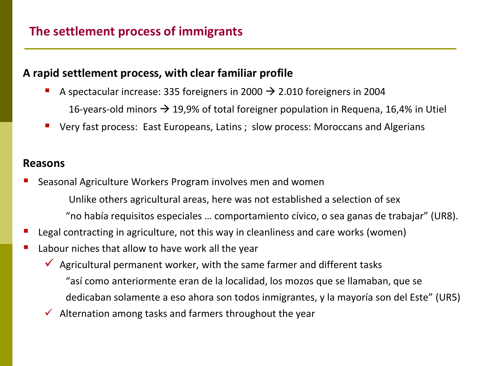#### **A rapid settlement process, with clear familiar profile**

- A spectacular increase: 335 foreigners in 2000  $\rightarrow$  2.010 foreigners in 2004 16-years-old minors  $\rightarrow$  19,9% of total foreigner population in Requena, 16,4% in Utiel
- Very fast process: East Europeans, Latins ; slow process: Moroccans and Algerians

#### **Reasons**

- Seasonal Agriculture Workers Program involves men and women
	- Unlike others agricultural areas, here was not established a selection of sex
	- "no había requisitos especiales … comportamiento cívico, o sea ganas de trabajar" (UR8).
- Legal contracting in agriculture, not this way in cleanliness and care works (women)
- Labour niches that allow to have work all the year
	- $\checkmark$  Agricultural permanent worker, with the same farmer and different tasks
		- "así como anteriormente eran de la localidad, los mozos que se llamaban, que se
		- dedicaban solamente a eso ahora son todos inmigrantes, y la mayoría son del Este" (UR5)
	- $\checkmark$  Alternation among tasks and farmers throughout the year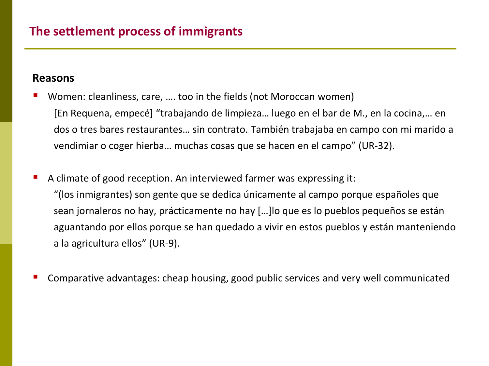#### **Reasons**

 Women: cleanliness, care, …. too in the fields (not Moroccan women) [En Requena, empecé] "trabajando de limpieza… luego en el bar de M., en la cocina,… en dos o tres bares restaurantes… sin contrato. También trabajaba en campo con mi marido a vendimiar o coger hierba… muchas cosas que se hacen en el campo" (UR-32).

- A climate of good reception. An interviewed farmer was expressing it: "(los inmigrantes) son gente que se dedica únicamente al campo porque españoles que sean jornaleros no hay, prácticamente no hay […]lo que es lo pueblos pequeños se están aguantando por ellos porque se han quedado a vivir en estos pueblos y están manteniendo a la agricultura ellos" (UR-9).
- Comparative advantages: cheap housing, good public services and very well communicated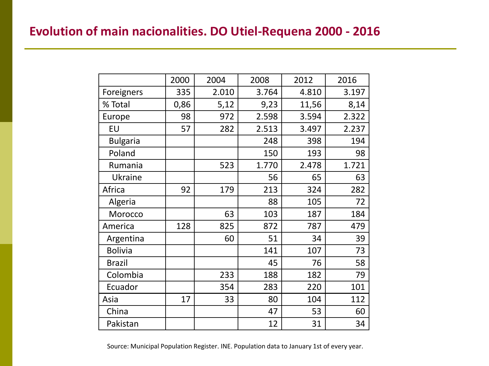# **Evolution of main nacionalities. DO Utiel-Requena 2000 - 2016**

|                 | 2000 | 2004  | 2008  | 2012  | 2016  |
|-----------------|------|-------|-------|-------|-------|
| Foreigners      | 335  | 2.010 | 3.764 | 4.810 | 3.197 |
| % Total         | 0,86 | 5,12  | 9,23  | 11,56 | 8,14  |
| Europe          | 98   | 972   | 2.598 | 3.594 | 2.322 |
| EU              | 57   | 282   | 2.513 | 3.497 | 2.237 |
| <b>Bulgaria</b> |      |       | 248   | 398   | 194   |
| Poland          |      |       | 150   | 193   | 98    |
| Rumania         |      | 523   | 1.770 | 2.478 | 1.721 |
| Ukraine         |      |       | 56    | 65    | 63    |
| Africa          | 92   | 179   | 213   | 324   | 282   |
| Algeria         |      |       | 88    | 105   | 72    |
| Morocco         |      | 63    | 103   | 187   | 184   |
| America         | 128  | 825   | 872   | 787   | 479   |
| Argentina       |      | 60    | 51    | 34    | 39    |
| <b>Bolivia</b>  |      |       | 141   | 107   | 73    |
| <b>Brazil</b>   |      |       | 45    | 76    | 58    |
| Colombia        |      | 233   | 188   | 182   | 79    |
| Ecuador         |      | 354   | 283   | 220   | 101   |
| Asia            | 17   | 33    | 80    | 104   | 112   |
| China           |      |       | 47    | 53    | 60    |
| Pakistan        |      |       | 12    | 31    | 34    |

Source: Municipal Population Register. INE. Population data to January 1st of every year.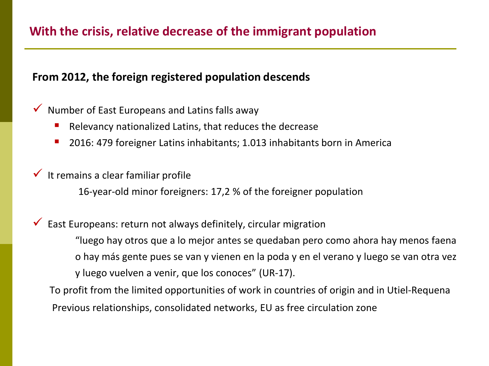# **With the crisis, relative decrease of the immigrant population**

#### **From 2012, the foreign registered population descends**

## $\checkmark$  Number of East Europeans and Latins falls away

- **Relevancy nationalized Latins, that reduces the decrease**
- 2016: 479 foreigner Latins inhabitants; 1.013 inhabitants born in America

## $\checkmark$  It remains a clear familiar profile

16-year-old minor foreigners: 17,2 % of the foreigner population

 $\checkmark$  East Europeans: return not always definitely, circular migration "luego hay otros que a lo mejor antes se quedaban pero como ahora hay menos faena o hay más gente pues se van y vienen en la poda y en el verano y luego se van otra vez y luego vuelven a venir, que los conoces" (UR-17).

To profit from the limited opportunities of work in countries of origin and in Utiel-Requena Previous relationships, consolidated networks, EU as free circulation zone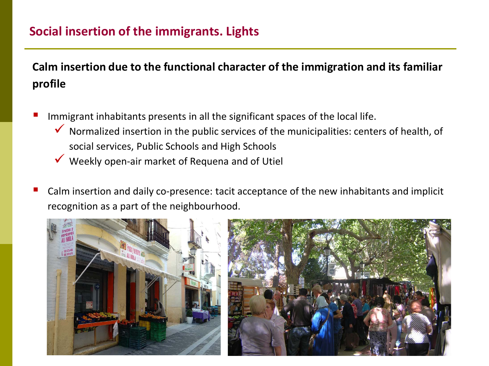# **Social insertion of the immigrants. Lights**

**Calm insertion due to the functional character of the immigration and its familiar profile**

- Immigrant inhabitants presents in all the significant spaces of the local life.
	- Normalized insertion in the public services of the municipalities: centers of health, of social services, Public Schools and High Schools
	- Weekly open-air market of Requena and of Utiel
- Calm insertion and daily co-presence: tacit acceptance of the new inhabitants and implicit recognition as a part of the neighbourhood.

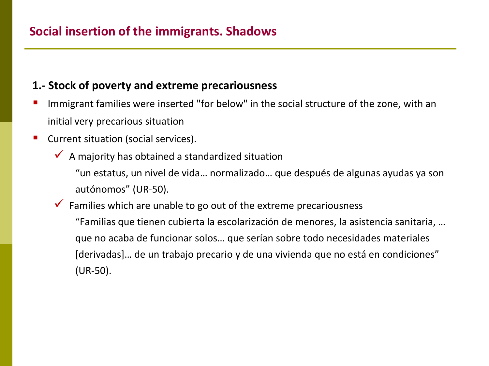## **1.- Stock of poverty and extreme precariousness**

- Immigrant families were inserted "for below" in the social structure of the zone, with an initial very precarious situation
- Current situation (social services).
	- $\checkmark$  A majority has obtained a standardized situation

"un estatus, un nivel de vida… normalizado… que después de algunas ayudas ya son autónomos" (UR-50).

# $\checkmark$  Families which are unable to go out of the extreme precariousness "Familias que tienen cubierta la escolarización de menores, la asistencia sanitaria, … que no acaba de funcionar solos… que serían sobre todo necesidades materiales [derivadas]… de un trabajo precario y de una vivienda que no está en condiciones" (UR-50).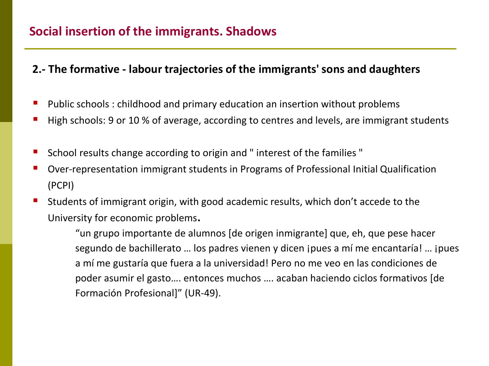## **2.- The formative - labour trajectories of the immigrants' sons and daughters**

- Public schools : childhood and primary education an insertion without problems
- High schools: 9 or 10 % of average, according to centres and levels, are immigrant students
- School results change according to origin and " interest of the families "
- Over-representation immigrant students in Programs of Professional Initial Qualification (PCPI)
- Students of immigrant origin, with good academic results, which don't accede to the University for economic problems.

"un grupo importante de alumnos [de origen inmigrante] que, eh, que pese hacer segundo de bachillerato … los padres vienen y dicen ¡pues a mí me encantaría! … ¡pues a mí me gustaría que fuera a la universidad! Pero no me veo en las condiciones de poder asumir el gasto…. entonces muchos …. acaban haciendo ciclos formativos [de Formación Profesional]" (UR-49).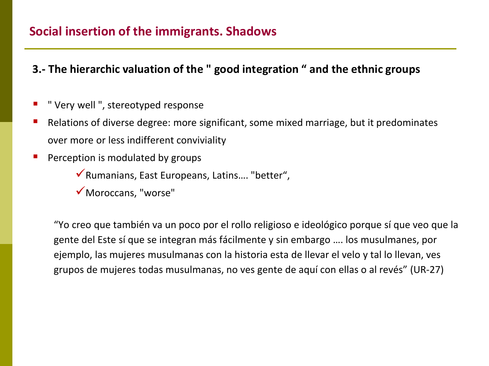## **Social insertion of the immigrants. Shadows**

- **3.- The hierarchic valuation of the " good integration " and the ethnic groups**
- " Very well ", stereotyped response
- Relations of diverse degree: more significant, some mixed marriage, but it predominates over more or less indifferent conviviality
- Perception is modulated by groups
	- Rumanians, East Europeans, Latins…. "better",
	- Moroccans, "worse"

"Yo creo que también va un poco por el rollo religioso e ideológico porque sí que veo que la gente del Este sí que se integran más fácilmente y sin embargo …. los musulmanes, por ejemplo, las mujeres musulmanas con la historia esta de llevar el velo y tal lo llevan, ves grupos de mujeres todas musulmanas, no ves gente de aquí con ellas o al revés" (UR-27)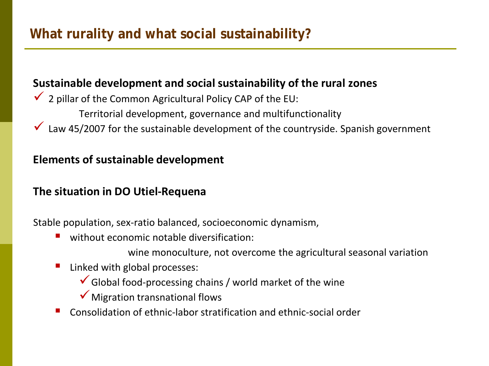## **Sustainable development and social sustainability of the rural zones**

- $\checkmark$  2 pillar of the Common Agricultural Policy CAP of the EU:
	- Territorial development, governance and multifunctionality
- $\checkmark$  Law 45/2007 for the sustainable development of the countryside. Spanish government

## **Elements of sustainable development**

## **The situation in DO Utiel-Requena**

Stable population, sex-ratio balanced, socioeconomic dynamism,

- without economic notable diversification:
	- wine monoculture, not overcome the agricultural seasonal variation
- Linked with global processes:
	- $\checkmark$  Global food-processing chains / world market of the wine
	- $\checkmark$  Migration transnational flows
- Consolidation of ethnic-labor stratification and ethnic-social order